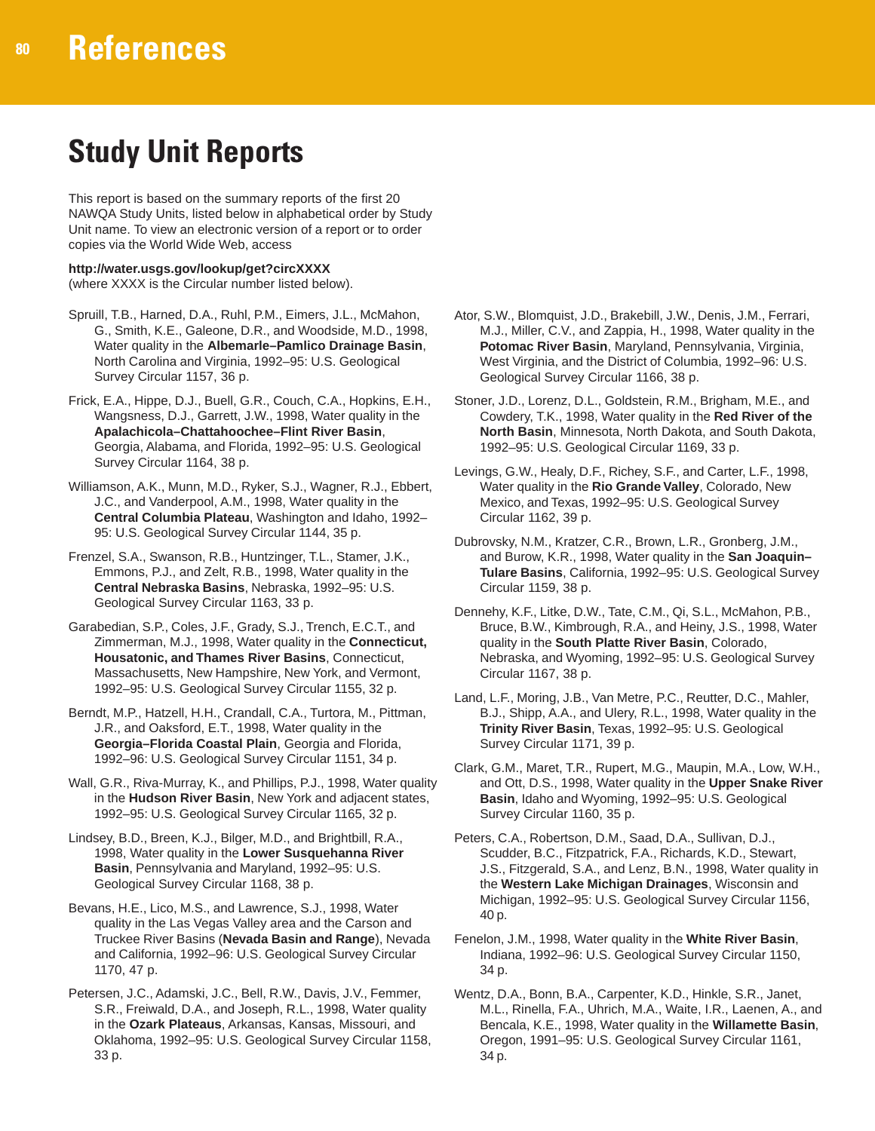## **Study Unit Reports**

This report is based on the summary reports of the first 20 NAWQA Study Units, listed below in alphabetical order by Study Unit name. To view an electronic version of a report or to order copies via the World Wide Web, access

**http://water.usgs.gov/lookup/get?circXXXX** (where XXXX is the Circular number listed below).

- Spruill, T.B., Harned, D.A., Ruhl, P.M., Eimers, J.L., McMahon, G., Smith, K.E., Galeone, D.R., and Woodside, M.D., 1998, Water quality in the **Albemarle–Pamlico Drainage Basin**, North Carolina and Virginia, 1992–95: U.S. Geological Survey Circular 1157, 36 p.
- Frick, E.A., Hippe, D.J., Buell, G.R., Couch, C.A., Hopkins, E.H., Wangsness, D.J., Garrett, J.W., 1998, Water quality in the **Apalachicola–Chattahoochee–Flint River Basin**, Georgia, Alabama, and Florida, 1992–95: U.S. Geological Survey Circular 1164, 38 p.
- Williamson, A.K., Munn, M.D., Ryker, S.J., Wagner, R.J., Ebbert, J.C., and Vanderpool, A.M., 1998, Water quality in the **Central Columbia Plateau**, Washington and Idaho, 1992– 95: U.S. Geological Survey Circular 1144, 35 p.
- Frenzel, S.A., Swanson, R.B., Huntzinger, T.L., Stamer, J.K., Emmons, P.J., and Zelt, R.B., 1998, Water quality in the **Central Nebraska Basins**, Nebraska, 1992–95: U.S. Geological Survey Circular 1163, 33 p.
- Garabedian, S.P., Coles, J.F., Grady, S.J., Trench, E.C.T., and Zimmerman, M.J., 1998, Water quality in the **Connecticut, Housatonic, and Thames River Basins**, Connecticut, Massachusetts, New Hampshire, New York, and Vermont, 1992–95: U.S. Geological Survey Circular 1155, 32 p.
- Berndt, M.P., Hatzell, H.H., Crandall, C.A., Turtora, M., Pittman, J.R., and Oaksford, E.T., 1998, Water quality in the **Georgia–Florida Coastal Plain**, Georgia and Florida, 1992–96: U.S. Geological Survey Circular 1151, 34 p.
- Wall, G.R., Riva-Murray, K., and Phillips, P.J., 1998, Water quality in the **Hudson River Basin**, New York and adjacent states, 1992–95: U.S. Geological Survey Circular 1165, 32 p.
- Lindsey, B.D., Breen, K.J., Bilger, M.D., and Brightbill, R.A., 1998, Water quality in the **Lower Susquehanna River Basin**, Pennsylvania and Maryland, 1992–95: U.S. Geological Survey Circular 1168, 38 p.
- Bevans, H.E., Lico, M.S., and Lawrence, S.J., 1998, Water quality in the Las Vegas Valley area and the Carson and Truckee River Basins (**Nevada Basin and Range**), Nevada and California, 1992–96: U.S. Geological Survey Circular 1170, 47 p.
- Petersen, J.C., Adamski, J.C., Bell, R.W., Davis, J.V., Femmer, S.R., Freiwald, D.A., and Joseph, R.L., 1998, Water quality in the **Ozark Plateaus**, Arkansas, Kansas, Missouri, and Oklahoma, 1992–95: U.S. Geological Survey Circular 1158, 33 p.
- Ator, S.W., Blomquist, J.D., Brakebill, J.W., Denis, J.M., Ferrari, M.J., Miller, C.V., and Zappia, H., 1998, Water quality in the **Potomac River Basin**, Maryland, Pennsylvania, Virginia, West Virginia, and the District of Columbia, 1992–96: U.S. Geological Survey Circular 1166, 38 p.
- Stoner, J.D., Lorenz, D.L., Goldstein, R.M., Brigham, M.E., and Cowdery, T.K., 1998, Water quality in the **Red River of the North Basin**, Minnesota, North Dakota, and South Dakota, 1992–95: U.S. Geological Circular 1169, 33 p.
- Levings, G.W., Healy, D.F., Richey, S.F., and Carter, L.F., 1998, Water quality in the **Rio Grande Valley**, Colorado, New Mexico, and Texas, 1992–95: U.S. Geological Survey Circular 1162, 39 p.
- Dubrovsky, N.M., Kratzer, C.R., Brown, L.R., Gronberg, J.M., and Burow, K.R., 1998, Water quality in the **San Joaquin– Tulare Basins**, California, 1992–95: U.S. Geological Survey Circular 1159, 38 p.
- Dennehy, K.F., Litke, D.W., Tate, C.M., Qi, S.L., McMahon, P.B., Bruce, B.W., Kimbrough, R.A., and Heiny, J.S., 1998, Water quality in the **South Platte River Basin**, Colorado, Nebraska, and Wyoming, 1992–95: U.S. Geological Survey Circular 1167, 38 p.
- Land, L.F., Moring, J.B., Van Metre, P.C., Reutter, D.C., Mahler, B.J., Shipp, A.A., and Ulery, R.L., 1998, Water quality in the **Trinity River Basin**, Texas, 1992–95: U.S. Geological Survey Circular 1171, 39 p.
- Clark, G.M., Maret, T.R., Rupert, M.G., Maupin, M.A., Low, W.H., and Ott, D.S., 1998, Water quality in the **Upper Snake River Basin**, Idaho and Wyoming, 1992–95: U.S. Geological Survey Circular 1160, 35 p.
- Peters, C.A., Robertson, D.M., Saad, D.A., Sullivan, D.J., Scudder, B.C., Fitzpatrick, F.A., Richards, K.D., Stewart, J.S., Fitzgerald, S.A., and Lenz, B.N., 1998, Water quality in the **Western Lake Michigan Drainages**, Wisconsin and Michigan, 1992–95: U.S. Geological Survey Circular 1156, 40 p.
- Fenelon, J.M., 1998, Water quality in the **White River Basin**, Indiana, 1992–96: U.S. Geological Survey Circular 1150, 34 p.
- Wentz, D.A., Bonn, B.A., Carpenter, K.D., Hinkle, S.R., Janet, M.L., Rinella, F.A., Uhrich, M.A., Waite, I.R., Laenen, A., and Bencala, K.E., 1998, Water quality in the **Willamette Basin**, Oregon, 1991–95: U.S. Geological Survey Circular 1161, 34 p.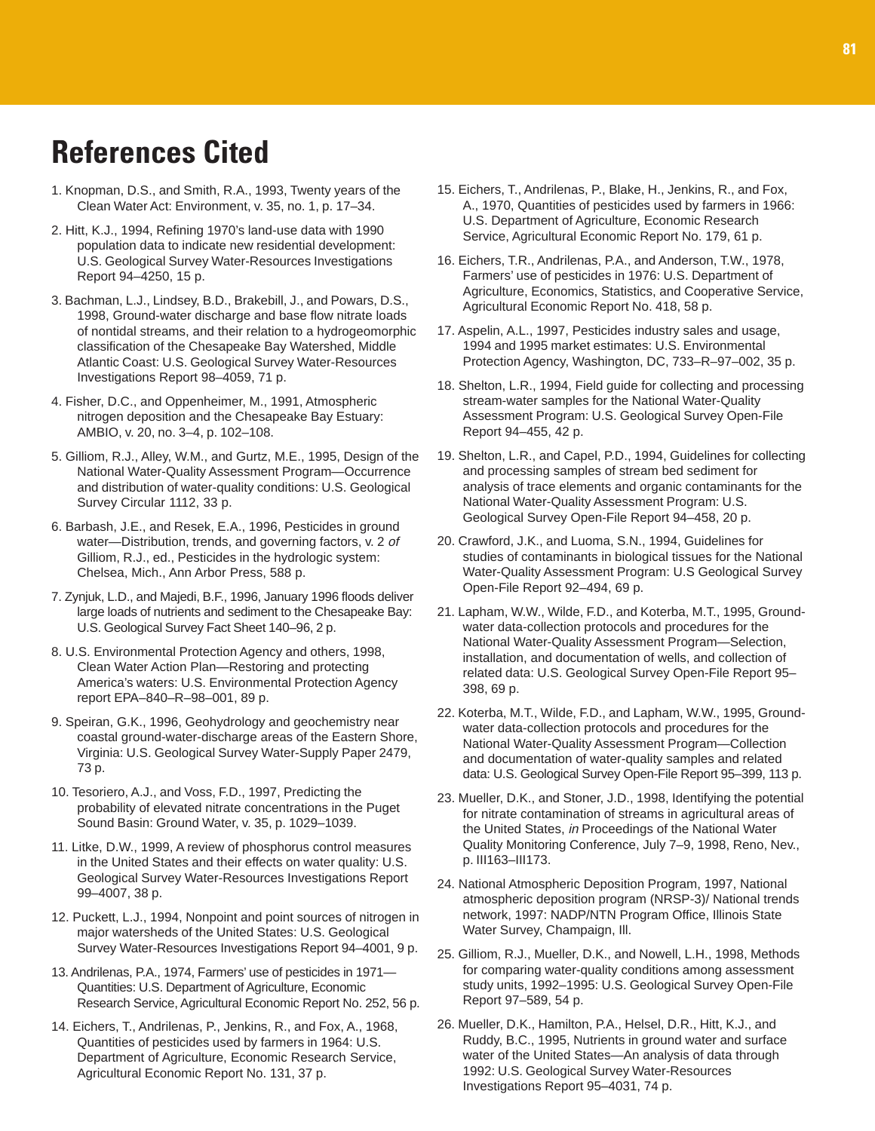### **References Cited**

- 1. Knopman, D.S., and Smith, R.A., 1993, Twenty years of the Clean Water Act: Environment, v. 35, no. 1, p. 17–34.
- 2. Hitt, K.J., 1994, Refining 1970's land-use data with 1990 population data to indicate new residential development: U.S. Geological Survey Water-Resources Investigations Report 94–4250, 15 p.
- 3. Bachman, L.J., Lindsey, B.D., Brakebill, J., and Powars, D.S., 1998, Ground-water discharge and base flow nitrate loads of nontidal streams, and their relation to a hydrogeomorphic classification of the Chesapeake Bay Watershed, Middle Atlantic Coast: U.S. Geological Survey Water-Resources Investigations Report 98–4059, 71 p.
- 4. Fisher, D.C., and Oppenheimer, M., 1991, Atmospheric nitrogen deposition and the Chesapeake Bay Estuary: AMBIO, v. 20, no. 3–4, p. 102–108.
- 5. Gilliom, R.J., Alley, W.M., and Gurtz, M.E., 1995, Design of the National Water-Quality Assessment Program—Occurrence and distribution of water-quality conditions: U.S. Geological Survey Circular 1112, 33 p.
- 6. Barbash, J.E., and Resek, E.A., 1996, Pesticides in ground water-Distribution, trends, and governing factors, v. 2 of Gilliom, R.J., ed., Pesticides in the hydrologic system: Chelsea, Mich., Ann Arbor Press, 588 p.
- 7. Zynjuk, L.D., and Majedi, B.F., 1996, January 1996 floods deliver large loads of nutrients and sediment to the Chesapeake Bay: U.S. Geological Survey Fact Sheet 140–96, 2 p.
- 8. U.S. Environmental Protection Agency and others, 1998, Clean Water Action Plan—Restoring and protecting America's waters: U.S. Environmental Protection Agency report EPA–840–R–98–001, 89 p.
- 9. Speiran, G.K., 1996, Geohydrology and geochemistry near coastal ground-water-discharge areas of the Eastern Shore, Virginia: U.S. Geological Survey Water-Supply Paper 2479, 73 p.
- 10. Tesoriero, A.J., and Voss, F.D., 1997, Predicting the probability of elevated nitrate concentrations in the Puget Sound Basin: Ground Water, v. 35, p. 1029–1039.
- 11. Litke, D.W., 1999, A review of phosphorus control measures in the United States and their effects on water quality: U.S. Geological Survey Water-Resources Investigations Report 99–4007, 38 p.
- 12. Puckett, L.J., 1994, Nonpoint and point sources of nitrogen in major watersheds of the United States: U.S. Geological Survey Water-Resources Investigations Report 94–4001, 9 p.
- 13. Andrilenas, P.A., 1974, Farmers' use of pesticides in 1971— Quantities: U.S. Department of Agriculture, Economic Research Service, Agricultural Economic Report No. 252, 56 p.
- 14. Eichers, T., Andrilenas, P., Jenkins, R., and Fox, A., 1968, Quantities of pesticides used by farmers in 1964: U.S. Department of Agriculture, Economic Research Service, Agricultural Economic Report No. 131, 37 p.
- 15. Eichers, T., Andrilenas, P., Blake, H., Jenkins, R., and Fox, A., 1970, Quantities of pesticides used by farmers in 1966: U.S. Department of Agriculture, Economic Research Service, Agricultural Economic Report No. 179, 61 p.
- 16. Eichers, T.R., Andrilenas, P.A., and Anderson, T.W., 1978, Farmers' use of pesticides in 1976: U.S. Department of Agriculture, Economics, Statistics, and Cooperative Service, Agricultural Economic Report No. 418, 58 p.
- 17. Aspelin, A.L., 1997, Pesticides industry sales and usage, 1994 and 1995 market estimates: U.S. Environmental Protection Agency, Washington, DC, 733–R–97–002, 35 p.
- 18. Shelton, L.R., 1994, Field guide for collecting and processing stream-water samples for the National Water-Quality Assessment Program: U.S. Geological Survey Open-File Report 94–455, 42 p.
- 19. Shelton, L.R., and Capel, P.D., 1994, Guidelines for collecting and processing samples of stream bed sediment for analysis of trace elements and organic contaminants for the National Water-Quality Assessment Program: U.S. Geological Survey Open-File Report 94–458, 20 p.
- 20. Crawford, J.K., and Luoma, S.N., 1994, Guidelines for studies of contaminants in biological tissues for the National Water-Quality Assessment Program: U.S Geological Survey Open-File Report 92–494, 69 p.
- 21. Lapham, W.W., Wilde, F.D., and Koterba, M.T., 1995, Groundwater data-collection protocols and procedures for the National Water-Quality Assessment Program—Selection, installation, and documentation of wells, and collection of related data: U.S. Geological Survey Open-File Report 95– 398, 69 p.
- 22. Koterba, M.T., Wilde, F.D., and Lapham, W.W., 1995, Groundwater data-collection protocols and procedures for the National Water-Quality Assessment Program—Collection and documentation of water-quality samples and related data: U.S. Geological Survey Open-File Report 95–399, 113 p.
- 23. Mueller, D.K., and Stoner, J.D., 1998, Identifying the potential for nitrate contamination of streams in agricultural areas of the United States, in Proceedings of the National Water Quality Monitoring Conference, July 7–9, 1998, Reno, Nev., p. III163–III173.
- 24. National Atmospheric Deposition Program, 1997, National atmospheric deposition program (NRSP-3)/ National trends network, 1997: NADP/NTN Program Office, Illinois State Water Survey, Champaign, Ill.
- 25. Gilliom, R.J., Mueller, D.K., and Nowell, L.H., 1998, Methods for comparing water-quality conditions among assessment study units, 1992–1995: U.S. Geological Survey Open-File Report 97–589, 54 p.
- 26. Mueller, D.K., Hamilton, P.A., Helsel, D.R., Hitt, K.J., and Ruddy, B.C., 1995, Nutrients in ground water and surface water of the United States—An analysis of data through 1992: U.S. Geological Survey Water-Resources Investigations Report 95–4031, 74 p.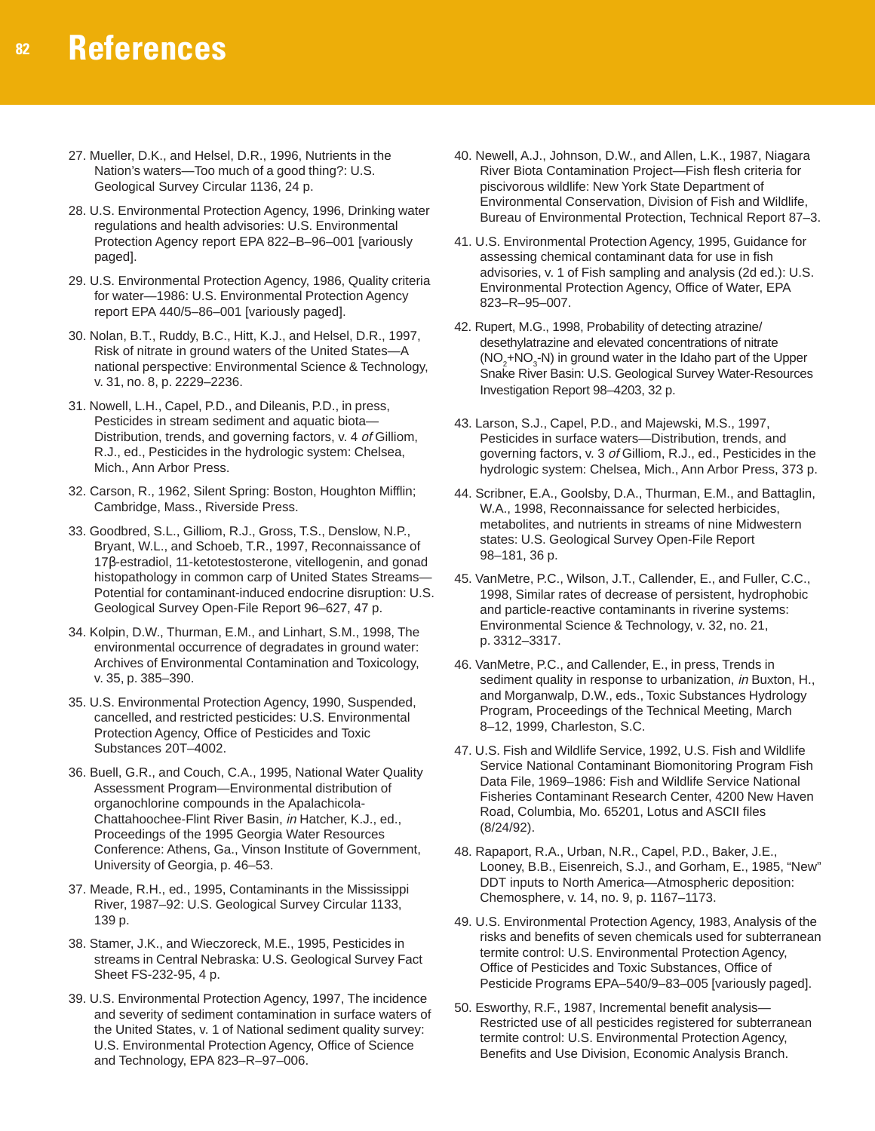- 27. Mueller, D.K., and Helsel, D.R., 1996, Nutrients in the Nation's waters—Too much of a good thing?: U.S. Geological Survey Circular 1136, 24 p.
- 28. U.S. Environmental Protection Agency, 1996, Drinking water regulations and health advisories: U.S. Environmental Protection Agency report EPA 822–B–96–001 [variously paged].
- 29. U.S. Environmental Protection Agency, 1986, Quality criteria for water—1986: U.S. Environmental Protection Agency report EPA 440/5–86–001 [variously paged].
- 30. Nolan, B.T., Ruddy, B.C., Hitt, K.J., and Helsel, D.R., 1997, Risk of nitrate in ground waters of the United States—A national perspective: Environmental Science & Technology, v. 31, no. 8, p. 2229–2236.
- 31. Nowell, L.H., Capel, P.D., and Dileanis, P.D., in press, Pesticides in stream sediment and aquatic biota— Distribution, trends, and governing factors, v. 4 of Gilliom, R.J., ed., Pesticides in the hydrologic system: Chelsea, Mich., Ann Arbor Press.
- 32. Carson, R., 1962, Silent Spring: Boston, Houghton Mifflin; Cambridge, Mass., Riverside Press.
- 33. Goodbred, S.L., Gilliom, R.J., Gross, T.S., Denslow, N.P., Bryant, W.L., and Schoeb, T.R., 1997, Reconnaissance of 17β-estradiol, 11-ketotestosterone, vitellogenin, and gonad histopathology in common carp of United States Streams— Potential for contaminant-induced endocrine disruption: U.S. Geological Survey Open-File Report 96–627, 47 p.
- 34. Kolpin, D.W., Thurman, E.M., and Linhart, S.M., 1998, The environmental occurrence of degradates in ground water: Archives of Environmental Contamination and Toxicology, v. 35, p. 385–390.
- 35. U.S. Environmental Protection Agency, 1990, Suspended, cancelled, and restricted pesticides: U.S. Environmental Protection Agency, Office of Pesticides and Toxic Substances 20T–4002.
- 36. Buell, G.R., and Couch, C.A., 1995, National Water Quality Assessment Program—Environmental distribution of organochlorine compounds in the Apalachicola-Chattahoochee-Flint River Basin, in Hatcher, K.J., ed., Proceedings of the 1995 Georgia Water Resources Conference: Athens, Ga., Vinson Institute of Government, University of Georgia, p. 46–53.
- 37. Meade, R.H., ed., 1995, Contaminants in the Mississippi River, 1987–92: U.S. Geological Survey Circular 1133, 139 p.
- 38. Stamer, J.K., and Wieczoreck, M.E., 1995, Pesticides in streams in Central Nebraska: U.S. Geological Survey Fact Sheet FS-232-95, 4 p.
- 39. U.S. Environmental Protection Agency, 1997, The incidence and severity of sediment contamination in surface waters of the United States, v. 1 of National sediment quality survey: U.S. Environmental Protection Agency, Office of Science and Technology, EPA 823–R–97–006.
- 40. Newell, A.J., Johnson, D.W., and Allen, L.K., 1987, Niagara River Biota Contamination Project—Fish flesh criteria for piscivorous wildlife: New York State Department of Environmental Conservation, Division of Fish and Wildlife, Bureau of Environmental Protection, Technical Report 87–3.
- 41. U.S. Environmental Protection Agency, 1995, Guidance for assessing chemical contaminant data for use in fish advisories, v. 1 of Fish sampling and analysis (2d ed.): U.S. Environmental Protection Agency, Office of Water, EPA 823–R–95–007.
- 42. Rupert, M.G., 1998, Probability of detecting atrazine/ desethylatrazine and elevated concentrations of nitrate  $(NO<sub>2</sub>+NO<sub>3</sub>-N)$  in ground water in the Idaho part of the Upper Snake River Basin: U.S. Geological Survey Water-Resources Investigation Report 98–4203, 32 p.
- 43. Larson, S.J., Capel, P.D., and Majewski, M.S., 1997, Pesticides in surface waters—Distribution, trends, and governing factors, v. 3 of Gilliom, R.J., ed., Pesticides in the hydrologic system: Chelsea, Mich., Ann Arbor Press, 373 p.
- 44. Scribner, E.A., Goolsby, D.A., Thurman, E.M., and Battaglin, W.A., 1998, Reconnaissance for selected herbicides, metabolites, and nutrients in streams of nine Midwestern states: U.S. Geological Survey Open-File Report 98–181, 36 p.
- 45. VanMetre, P.C., Wilson, J.T., Callender, E., and Fuller, C.C., 1998, Similar rates of decrease of persistent, hydrophobic and particle-reactive contaminants in riverine systems: Environmental Science & Technology, v. 32, no. 21, p. 3312–3317.
- 46. VanMetre, P.C., and Callender, E., in press, Trends in sediment quality in response to urbanization, in Buxton, H., and Morganwalp, D.W., eds., Toxic Substances Hydrology Program, Proceedings of the Technical Meeting, March 8–12, 1999, Charleston, S.C.
- 47. U.S. Fish and Wildlife Service, 1992, U.S. Fish and Wildlife Service National Contaminant Biomonitoring Program Fish Data File, 1969–1986: Fish and Wildlife Service National Fisheries Contaminant Research Center, 4200 New Haven Road, Columbia, Mo. 65201, Lotus and ASCII files (8/24/92).
- 48. Rapaport, R.A., Urban, N.R., Capel, P.D., Baker, J.E., Looney, B.B., Eisenreich, S.J., and Gorham, E., 1985, "New" DDT inputs to North America—Atmospheric deposition: Chemosphere, v. 14, no. 9, p. 1167–1173.
- 49. U.S. Environmental Protection Agency, 1983, Analysis of the risks and benefits of seven chemicals used for subterranean termite control: U.S. Environmental Protection Agency, Office of Pesticides and Toxic Substances, Office of Pesticide Programs EPA–540/9–83–005 [variously paged].
- 50. Esworthy, R.F., 1987, Incremental benefit analysis— Restricted use of all pesticides registered for subterranean termite control: U.S. Environmental Protection Agency, Benefits and Use Division, Economic Analysis Branch.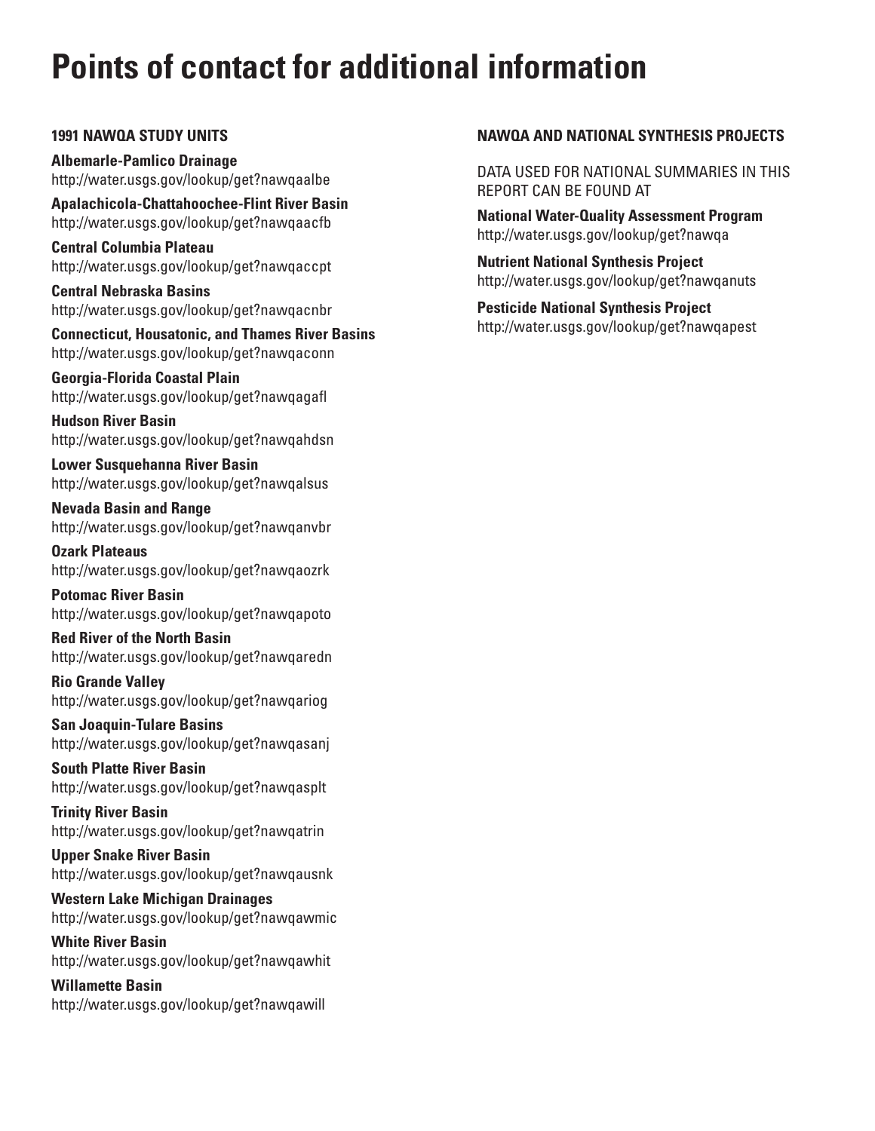# **Points of contact for additional information**

#### **1991 NAWQA STUDY UNITS**

**Albemarle-Pamlico Drainage** http://water.usgs.gov/lookup/get?nawqaalbe

**Apalachicola-Chattahoochee-Flint River Basin** http://water.usgs.gov/lookup/get?nawqaacfb

**Central Columbia Plateau** http://water.usgs.gov/lookup/get?nawqaccpt

**Central Nebraska Basins** http://water.usgs.gov/lookup/get?nawqacnbr

**Connecticut, Housatonic, and Thames River Basins** http://water.usgs.gov/lookup/get?nawqaconn

**Georgia-Florida Coastal Plain** http://water.usgs.gov/lookup/get?nawqagafl

**Hudson River Basin** http://water.usgs.gov/lookup/get?nawqahdsn

**Lower Susquehanna River Basin** http://water.usgs.gov/lookup/get?nawqalsus

**Nevada Basin and Range** http://water.usgs.gov/lookup/get?nawqanvbr

**Ozark Plateaus** http://water.usgs.gov/lookup/get?nawqaozrk

**Potomac River Basin** http://water.usgs.gov/lookup/get?nawqapoto

**Red River of the North Basin** http://water.usgs.gov/lookup/get?nawqaredn

**Rio Grande Valley** http://water.usgs.gov/lookup/get?nawqariog

**San Joaquin-Tulare Basins** http://water.usgs.gov/lookup/get?nawqasanj

**South Platte River Basin** http://water.usgs.gov/lookup/get?nawqasplt

**Trinity River Basin** http://water.usgs.gov/lookup/get?nawqatrin

**Upper Snake River Basin** http://water.usgs.gov/lookup/get?nawqausnk

**Western Lake Michigan Drainages** http://water.usgs.gov/lookup/get?nawqawmic

**White River Basin** http://water.usgs.gov/lookup/get?nawqawhit

**Willamette Basin** http://water.usgs.gov/lookup/get?nawqawill

### **NAWQA AND NATIONAL SYNTHESIS PROJECTS**

DATA USED FOR NATIONAL SUMMARIES IN THIS REPORT CAN BE FOUND AT

**National Water-Quality Assessment Program** http://water.usgs.gov/lookup/get?nawqa

**Nutrient National Synthesis Project** http://water.usgs.gov/lookup/get?nawqanuts

**Pesticide National Synthesis Project** http://water.usgs.gov/lookup/get?nawqapest